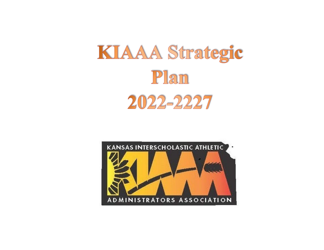## KIAAA Strategic Plan 2022-2227

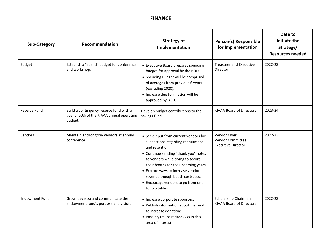## **FINANCE**

| <b>Sub-Category</b>   | Recommendation                                                                                  | <b>Strategy of</b><br>Implementation                                                                                                                                                                                                                                                                                                               | <b>Person(s) Responsible</b><br>for Implementation                   | Date to<br>Initiate the<br>Strategy/<br><b>Resources needed</b> |
|-----------------------|-------------------------------------------------------------------------------------------------|----------------------------------------------------------------------------------------------------------------------------------------------------------------------------------------------------------------------------------------------------------------------------------------------------------------------------------------------------|----------------------------------------------------------------------|-----------------------------------------------------------------|
| <b>Budget</b>         | Establish a "spend" budget for conference<br>and workshop.                                      | • Executive Board prepares spending<br>budget for approval by the BOD.<br>• Spending Budget will be comprised<br>of averages from previous 6 years<br>(excluding 2020).<br>• Increase due to inflation will be<br>approved by BOD.                                                                                                                 | <b>Treasurer and Executive</b><br>Director                           | 2022-23                                                         |
| <b>Reserve Fund</b>   | Build a contingency reserve fund with a<br>goal of 50% of the KIAAA annual operating<br>budget. | Develop budget contributions to the<br>savings fund.                                                                                                                                                                                                                                                                                               | <b>KIAAA Board of Directors</b>                                      | 2023-24                                                         |
| Vendors               | Maintain and/or grow vendors at annual<br>conference                                            | • Seek input from current vendors for<br>suggestions regarding recruitment<br>and retention.<br>• Continue sending "thank you" notes<br>to vendors while trying to secure<br>their booths for the upcoming years.<br>• Explore ways to increase vendor<br>revenue though booth costs, etc.<br>• Encourage vendors to go from one<br>to two tables. | <b>Vendor Chair</b><br>Vendor Committee<br><b>Executive Director</b> | 2022-23                                                         |
| <b>Endowment Fund</b> | Grow, develop and communicate the<br>endowment fund's purpose and vision.                       | • Increase corporate sponsors.<br>• Publish information about the fund<br>to increase donations.<br>• Possibly utilize retired ADs in this<br>area of interest.                                                                                                                                                                                    | Scholarship Chairman<br><b>KIAAA Board of Directors</b>              | 2022-23                                                         |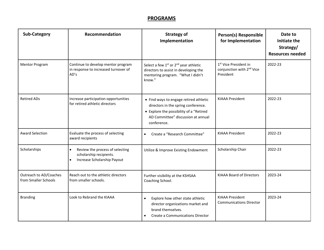## **PROGRAMS**

| <b>Sub-Category</b>                            | Recommendation                                                                                         | <b>Strategy of</b><br>Implementation                                                                                                                                          | Person(s) Responsible<br>for Implementation                                             | Date to<br><b>Initiate the</b><br>Strategy/<br><b>Resources needed</b> |
|------------------------------------------------|--------------------------------------------------------------------------------------------------------|-------------------------------------------------------------------------------------------------------------------------------------------------------------------------------|-----------------------------------------------------------------------------------------|------------------------------------------------------------------------|
| <b>Mentor Program</b>                          | Continue to develop mentor program<br>in response to increased turnover of<br>AD's                     | Select a few 1 <sup>st</sup> or 2 <sup>nd</sup> year athletic<br>directors to assist in developing the<br>mentoring program. "What I didn't<br>know."                         | 1 <sup>st</sup> Vice President in<br>conjunction with 2 <sup>nd</sup> Vice<br>President | 2022-23                                                                |
| <b>Retired ADs</b>                             | Increase participation opportunities<br>for retired athletic directors                                 | • Find ways to engage retired athletic<br>directors in the spring conference.<br>• Explore the possibility of a "Retired<br>AD Committee" discussion at annual<br>conference. | <b>KIAAA President</b>                                                                  | 2022-23                                                                |
| <b>Award Selection</b>                         | Evaluate the process of selecting<br>award recipients                                                  | Create a "Research Committee"<br>$\bullet$                                                                                                                                    | <b>KIAAA President</b>                                                                  | 2022-23                                                                |
| Scholarships                                   | $\bullet$<br>Review the process of selecting<br>scholarship recipients.<br>Increase Scholarship Payout | Utilize & Improve Existing Endowment                                                                                                                                          | Scholarship Chair                                                                       | 2022-23                                                                |
| Outreach to AD/Coaches<br>from Smaller Schools | Reach out to the athletic directors<br>from smaller schools.                                           | Further visibility at the KSHSAA<br>Coaching School.                                                                                                                          | <b>KIAAA Board of Directors</b>                                                         | 2023-24                                                                |
| <b>Branding</b>                                | Look to Rebrand the KIAAA                                                                              | Explore how other state athletic<br>$\bullet$<br>director organizations market and<br>brand themselves.<br>Create a Communications Director<br>$\bullet$                      | <b>KIAAA President</b><br><b>Communications Director</b>                                | 2023-24                                                                |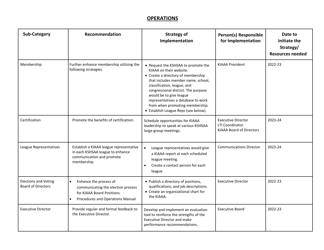## **OPERATIONS**

| <b>Sub-Category</b>                                      | Recommendation                                                                                                                              | <b>Strategy of</b><br>Implementation                                                                                                                                                                                                                                                                                                                         | Person(s) Responsible<br>for Implementation                                            | Date to<br><b>Initiate the</b><br>Strategy/<br><b>Resources needed</b> |
|----------------------------------------------------------|---------------------------------------------------------------------------------------------------------------------------------------------|--------------------------------------------------------------------------------------------------------------------------------------------------------------------------------------------------------------------------------------------------------------------------------------------------------------------------------------------------------------|----------------------------------------------------------------------------------------|------------------------------------------------------------------------|
| Membership                                               | Further enhance membership utilizing the<br>following strategies.                                                                           | • Request the KSHSAA to promote the<br>KIAAA on their website.<br>• Create a directory of membership<br>that includes member name, school,<br>classification, league, and<br>congressional district. The purpose<br>would be to give league<br>representatives a database to work<br>from when promoting membership.<br>• Establish League Reps (see below). | <b>KIAAA President</b>                                                                 | 2022-23                                                                |
| Certification                                            | Promote the benefits of certification.                                                                                                      | Schedule opportunities for KIAAA<br>leadership to speak at various KSHSAA<br>large-group meetings.                                                                                                                                                                                                                                                           | <b>Executive Director</b><br><b>LTI Coordinator</b><br><b>KIAAA Board of Directors</b> | 2023-24                                                                |
| League Representatives                                   | Establish a KIAAA league representative<br>in each KSHSAA league to enhance<br>communication and promote<br>membership.                     | $\bullet$<br>League representatives would give<br>a KIAAA report at each scheduled<br>league meeting.<br>Create a contact person for each<br>$\bullet$<br>league                                                                                                                                                                                             | <b>Communications Director</b>                                                         | 2023-24                                                                |
| <b>Elections and Voting</b><br><b>Board of Directors</b> | Enhance the process of<br>$\bullet$<br>communicating the election process<br>for KIAAA Board Positions.<br>Procedures and Operations Manual | • Publish a directory of positions,<br>qualifications, and job descriptions.<br>• Create an organizational chart for<br>the KIAAA.                                                                                                                                                                                                                           | <b>Executive Director</b>                                                              | 2022-23                                                                |
| <b>Executive Director</b>                                | Provide regular and formal feedback to<br>the Executive Director.                                                                           | Develop and implement an evaluation<br>tool to reinforce the strengths of the<br><b>Executive Director and make</b><br>performance recommendations.                                                                                                                                                                                                          | <b>Executive Board</b>                                                                 | 2022-23                                                                |